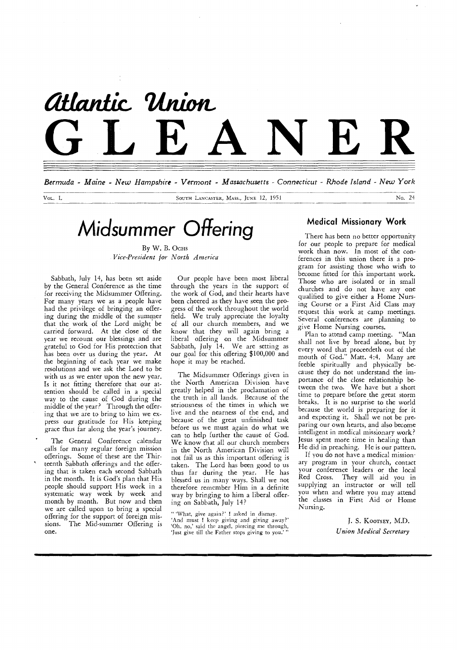# *attanik Union-*Atlantic Union<br>GLEANER

*Bermuda - Maine - New Hampshire - Vermont - Massachusetts - Connecticut - Rhode Island - New York* 

Vol. L SOUTH LANCASTER, MASS., JUNE 12, 1951 NO. 24

# *Midsummer Offering*

By W. B. Ocns *Vice-President for North America* 

Sabbath, July 14, has been set aside by the General Conference as the time for receiving the Midsummer Offering. For many years we as a people have had the privilege of bringing an offering during the middle of the summer that the work of the Lord might be carried forward. At the close of the year we recount our blessings and are grateful to God for His protection that has been over us during the year. At the beginning of each year we make resolutions and we ask the Lord to be with us as we enter upon the new year. Is it not fitting therefore that our attention should be called in a special way to the cause of God during the middle of the year? Through the offering that we are to bring to him we express our gratitude for His keeping grace thus far along the year's journey.

The General Conference calendar calls for many regular foreign mission offerings. Some of these are the Thirteenth Sabbath offerings and the offering that is taken each second Sabbath in the month. It is God's plan that His people should support His work in a systematic way week by week and month by month. But now and then we are called upon to bring a special offering for the support of foreign missions. The Mid-summer Offering is one.

Our people have been most liberal through the years in the support of the work of God, and their hearts have been cheered as they have seen the progress of the work throughout the world field. We truly appreciate the loyalty of all our church members, and we know that they will again bring a liberal offering on the Midsummer Sabbath, July 14. We are setting as our goal for this offering \$100,000 and hope it may be reached.

The Midsummer Offerings given in the North American Division have greatly helped in the proclamation of the truth in all lands. Because of the seriousness of the times in which we live and the nearness of the end, and because of the great unfinished task before us we must again do what we can to help further the cause of God. We know that all our church members in the North American Division will not fail us as this important offering is taken. The Lord has been good to us thus far during the year. He has blessed us in many ways. Shall we not therefore remember Him in a definite way by bringing to him a liberal offering on Sabbath, July 14?

" 'What, give again?' I asked in dismay. `And must I keep giving and giving away?' 'Oh, no,' said the angel, piercing me through, 'Just give till the Father stops giving to you.'

#### **Medical Missionary Work**

There has been no better opportunity for our people to prepare for medical work than now. In most of the conferences in this union there is a program for assisting those who wish to become fitted for this important work. Those who are isolated or in small churches and do not have any one qualified to give either a Home Nursing Course or a First Aid Class may request this work at camp meetings. Several conferences are planning to give Home Nursing courses.

Plan to attend camp meeting. "Man shall not live by bread alone, but by every word that proceedeth out of the mouth of God." Matt. 4:4. Many are feeble spiritually and physically because they do not understand the importance of the close relationship between the two. We have but a short time to prepare before the great storm breaks. It is no surprise to the world because the world is preparing for it and expecting it. Shall we not be preparing our own hearts, and also become intelligent in medical missionary work? Jesus spent more time in healing than He did in preaching. He is our pattern.

If you do not have a medical missionary program in your church, contact your conference leaders or the local Red Cross. They will aid you in supplying an instructor or will tell you when and where you may attend the classes in First Aid or Home Nursing.

> J. S. KOOTSEY, M.D. *Union Medical Secretary*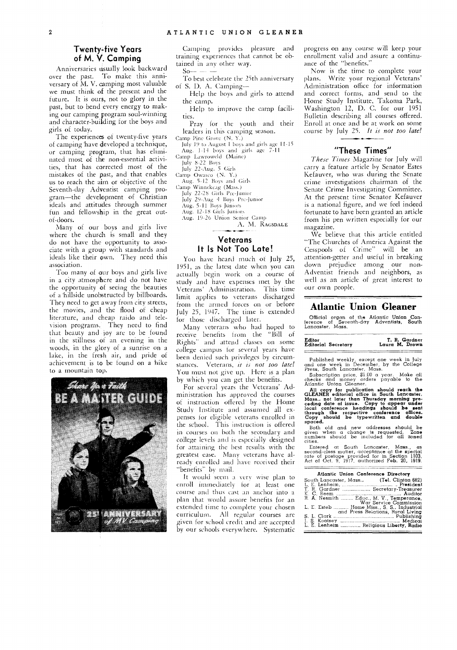#### **Twenty-five Years of M. V. Camping**

Anniversaries usually look backward over the past. To make this anniversary of M. V. camping most valuable we must think of the present and the future. It is ours, not to glory in the past, but to bend every energy to making our camping program soul-winning and character-building for the boys and girls of today.

The experiences of twenty-five years of camping have developed a technique, or camping program, that has eliminated most of the non-essential activities, that has corrected most of the mistakes of the past, and that enables us to reach the aim or objective of the Seventh-day Adventist camping program—the development of Christian ideals and attitudes through summer fun and fellowship in the great outof-doors.

Many of our boys and girls live where the church is small and they do not have the- opportunity to associate with a group with standards and ideals like their own. They need this association.

Too many of our boys and girls live in a city atmosphere and do not have the opportunity of seeing the beauties of a hillside unobstructed by billboards. They need to get away from city streets, the movies, and the flood of cheap literature, and cheap raido and television programs. They need to find that beauty and joy are to be found in the stillness of an evening in the woods, in the glory of a sunrise on a lake, in the fresh air, and pride of achievement is to be found on a hike to a mountain top.



Camping provides pleasure and training experiences that cannot be obtained in any other way.

 $S_{0}$ — — To best celebrate the 25th anniversary of S. D. A. Camping—

- Help the boys and girls to attend the camp.
- Help to improve the camp facilities.

Pray for the youth and their leaders in this camping season.

Camp Pine Grove (N. Y.) July 19 to August 1 boys and girls age 11-15 Aug. 1-14 boys and girls age 7-11

Camp Lawrowcld (Maine)

July 8-22 Boys July 22-Aug. 5 Girls

Camp Owasco (N. Y.) Aug. 5-12 Boys and Girls

Camp Winnekeag (Mass.)

July 22-28 Girls Pre-Junior

July 29-Aug 4 Boys Pre-Junior

Aug. 5-11 Boys Juniors **Aug.** 12-18 Girls Juniors

Aug. 19-26 Union Senior Camp

A. M. RAGSDALE

#### **Veterans It Is Not Too Late!**

You have heard much of July 25, 1951, as the latest date when you can actually begin work on a course of study and have expenses met by the Veterans' Administration. This time limit applies to veterans discharged from the armed forces on or before July 25, 1947. The time is extended for those discharged later.

Many veterans who had hoped to receive benefits from the "Bill of Rights" and attend classes on some college campus for several years have been denied such privileges by circumstances. Veterans, *it is not too late!*  You must not give up. Here is a plan by which you can get the benefits.

For several years the Veterans' Administration has approved the courses of instruction offered by the Home Study Institute and assumed all expenses for eligible veterans enrolled in the school. This instruction is offered in courses on both the secondary and college levels and is especially designed for attaining the best results with the greatest ease. Many veterans have already enrolled and have received their "benefits" by mail.

It would seem a very wise plan to enroll immediately for at least one course and thus cast an anchor into a plan that would assure benefits for an extended time to complete your chosen curriculum. All regular courses are given for school credit and are accepted by our schools everywhere. Systematic progress on any course will keep your enrollment valid and assure a continuance of the "benefits."

Now is the time to complete your plans. Write your regional Veterans' Administration office for information and correct forms, and send to the Home Study Institute, Takoma Park, Washington 12, D. C. for our 1951 Bulletin describing all courses offered. Enroll at once and he at work on some course by July 25. *It is not too late!* 

#### **"These Times"**

*These Times* Magazine for July will carry a feature article by Senator Estes Kefauver, who was during the Senate crime investigations chairman of the Senate Crime Investigating Committee. At the present time Senator Kefauver is a national figure, and we feel indeed fortunate to have been granted an article from his pen written especially for our magazine.

We believe that this article entitled "The Churches of America Against the Cesspools of Crime" will be an attention-getter and useful in breaking down prejudice among our non-Adventist friends and neighbors, as well as an article of great interest to our own people.

#### **Atlantic Union Gleaner**

Official organ of the Atlantic Union Con-ference of Seventh-day Adventists, South Lancaster, Mass.

| Editor | Editorial Secretary | T. R. Gardner<br>Laura M. Drown |
|--------|---------------------|---------------------------------|
|        |                     |                                 |

Published weekly, except one week in July<br>
and one week in December, by the College<br>
Press, South Lancaster, Mass.<br>
Subscription price, \$1.00 a year. Make all<br>
checks and money orders payable to the<br>
Atlantic Union Gleaner

All copy for publication should reach the GLEANER editorial office in South Lancaster. And Mans... not later than Thursday morning preceding date of issue. Copy to appear under local local conference headings should be sen

Both old and new addresses should be given when a change is requested. Zone numbers should be included for all zoned cities.

Entered at South Lancaster, Mass., as second-class matter, acceptance at the special rate of postage provided for in Section 1103, Act of Oct. 9, 1917, authorized Feb. 20, 1919.

| Atlantic Union Conference Directory                                           |
|-------------------------------------------------------------------------------|
| South Lancaster, Mass., (Tel. Clinton 682)                                    |
| T. R. Gardner  Secretary-Treasurer                                            |
|                                                                               |
| R. A. Nesmith  Educ., M. V., Temperance,                                      |
| War Service Commission                                                        |
| L. E. Esteb  Home Miss S. S., Industrial<br>and Press Relations, Rural Living |
|                                                                               |
|                                                                               |
|                                                                               |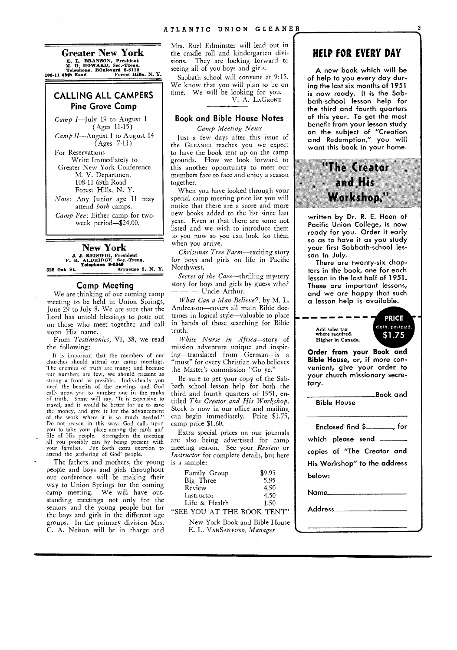**Greater New York**  E. L. BRANSON, President<br>
M. D. HOWARD, Sec.-Treas.<br>
Telephone. BOulevard 8-8110<br>
108-11 69th Read<br>
Forest Hills, N. Y.

#### **CALLING ALL CAMPERS Pine Grove Camp**

*Camp I—July* 19 to August 1 (Ages 11-15) *Camp II*—August 1 to August 14 (Ages 7-11)

For Reservations Write Immediately to Greater New York Conference M. V. Department 108-11 69th Road Forest Hills, N. Y.

*Note:* Any Junior age 11 may attend *both* camps. *Camp Fee:* Either camp for twoweek period—\$24.00.

**New York**  J. J. REISWIG, President<br>F. R. ALDRIDGE. Sec.-Treas.<br>Telephone 9-5549 528 Oak St. Syracuse 8, N. Y.

#### **Camp Meeting**

We are thinking of our coming camp meeting to be held in Union Springs, June  $2\tilde{9}$  to July 8. We are sure that the Lord has untold blessings to pour out on those who meet together and call uopn His name.

From *Testimonies,* VI, 38, we read the following:

It is important that the members of our churches should attend our camp meetings. The enemies of truth are many; and because our numbers are few, we should present as strong a front as possible. Individually you need the benefits of the meeting, and God calls upon you to number one in the ranks of truth. Some will say, "It is expensive to travel, and it would be better for us to save the money, and give it for the advancement of the work where it is so much needed." Do not reason in this way; God calls upon you to take your place among the rank and file of His people. Strengthen the meeting all you possibly can by being present with your families. Put forth extra exertion to attend the gathering of God' people.

The fathers and mothers, the young people and boys and girls throughout our conference will be making their way to Union Springs for the coming<br>camp meeting. We will have out-We will have outstanding meetings not only for the seniors and the young people but for the boys and girls in the different age groups. In the primary division Mrs. C. A. Nelson will be in charge and

Mrs. Ruel Edminster will lead out in the cradle roll and kindergarten divisions. They are looking forward to seeing all of you boys and girls.

Sabbath school will convene at 9:15. We know that you will plan to be on time. We will be looking for you. V. A. LAGRONE

### **Book and Bible House Notes**

*Camp Meeting News* 

Just a few days after this issue of the GLEANER reaches you we expect to have the book tent up on the camp grounds. How we look forward to this another opportunity to meet our members face to face and enjoy a season together.

When you have looked through your special camp meeting price list you will notice that there are a score and more new books added to the list since last year. Even at that there are some not listed and we wish to introduce them to you now so you can look for them when you arrive.

*Christmas Tree Farm—exciting* story for boys and girls on life in Pacific Northwest.

Secret of the Cave-thrilling mystery story for boys and girls by guess who? - Uncle Arthur.

*What Can a Man Believe?,* by M. L. Andreason---covers all main Bible doctrines in logical style—valuable to place in hands of those searching for Bible truth.

*White Nurse in Africa—story* of mission adventure unique and inspiring—translated from German—is a "must" for every Christian who believes the Master's commission "Go ye.'

Be sure to get your copy of the Sabbath school lesson help for both the third and fourth quarters of 1951, entitled *The Creator and His Workshop.*  Stock is now in our office and mailing can begin immediately. Price \$1.75, camp price \$1.60.

Extra special prices on our journals are also being advertised for camp meeting season. See your *Review* or *Instructor* for complete details, but here is a sample:

| Family Group  | \$9.95 |
|---------------|--------|
| Big Three     | 5.95   |
| Review        | 4.50   |
| Instructor    | 4.50   |
| Life & Health | 1.50   |

"SEE YOU AT THE BOOK TENT" New York Book and Bible House

E. L. VANSANFORD, *Manager* 

## **HELP FOR EVERY DAY**

A new book which will be of help to you every day during the last six months of 1951 is now ready. It is the Sabbath-school lesson help for the third and fourth quarters of this year. To get the most benefit from your lesson study on the subject of "Creation and Redemption," you will want this book in your home.

# **'The creator and His Workshop,"**

written by Dr. R. E. Hoen of Pacific Union College, is now ready for you. Order it early so as to have it as you study your first Sabbath-school lesson in July.

There are twenty-six chapters in the book, one for each lesson in the last half of 1951. These are important lessons, and we are happy that such a lesson help is available.

Add sales tax where required. Higher in Canada.



Book and

**Order from your Book and Bible House,** or, if more convenient, give your order to your church missionary secretary.

Bible House

| Enclosed find $\frac{1}{2}$ , for |  |  |  |  |  |
|-----------------------------------|--|--|--|--|--|
| which please send ______          |  |  |  |  |  |
| copies of "The Creator and        |  |  |  |  |  |
| His Workshop" to the address      |  |  |  |  |  |
| below:                            |  |  |  |  |  |
|                                   |  |  |  |  |  |

Name

Address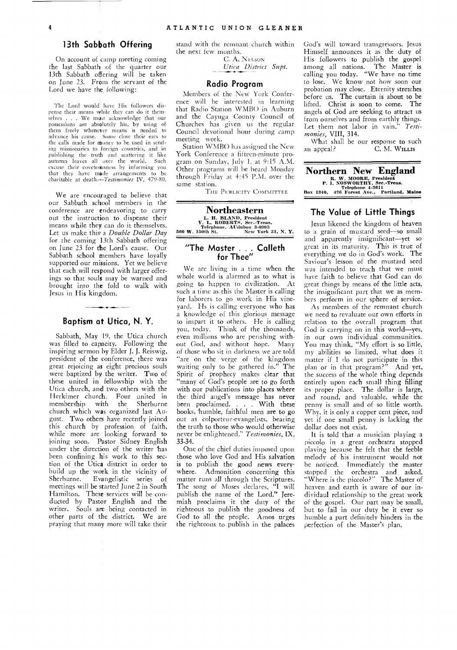#### **13th Sabbath Offering**

On account of camp meeting coming the last Sabbath of the quarter our 13th Sabbath offering will be taken on June 23. From the servant of the Lord we have the following:

The Lord would.have His followers dispense their means while they can do it themselves . . . We must acknowledge that our possessions are absolutely his, by using of them freely whenever means is needed to advance his cause. Some close their ears to the calls made for money to be used in sending missionaries to foreign countries, and in publishing the truth and scattering it like autumn leaves all over the world. excuse their coveteousness by informing you that they have made arrangements charitable at *death.—Testimonies* IV, 479-80.

We are encouraged to believe that our Sabbath school members in the conference are endeavoring to carry out the instruction to dispense their means while they can do it themselves. Let us make this' a *Double Dollar Day*  for the coming 13th Sabbath offering on June 23 for the Lord's cause. Our Sabbath school members have loyally supported our missions. Yet we believe that each will respond with larger offerings so that souls may be warned and brought into the fold to walk with Jesus in His kingdom.

#### **Baptism at Utica, N. Y.**

Sabbath, May 19, the Utica church was filled to capacity. Following the inspiring sermon by Elder J. J. Reiswig, president of the conference, there was great rejoicing as eight precious souls were baptized by the writer. Two of these united in fellowship with the Utica church, and two others with the Herkimer church. Four united in<br>membership with the Sherburne membership church which was organized last August. Two others have recently joined this church by profession of faith, while more are looking forward to joining soon. Pastor Sidney English under the direction of the writer has been confining his work to this section of the Utica district in order to build up the work in the vicinity of<br>Sherburne. Evangelistic series of Evangelistic series of meetings will be started June 2 in South Hamilton. These services will be conducted by Pastor English and the writer. Souls are being contacted in other parts of the district. We are praying that many more will take their

stand with the remnant church within the next few months.

> C. A. NELSON *Utica District Supt.*

#### **Radio Program**

Members of the New York Conference will be interested in learning that Radio Station WMBO in Auburn and the Cayuga County Council of Churches has given us the regular Council devotional hour during camp meeting week.

Station WMBO has assigned the New York Conference a fifteen-minute program on Sunday, July 1, at 9:15 A.M. Other programs will be heard Monday through Friday at 4:45 P.M. over the same station.

THE PUBLICITY COMMITTEE

**Northeastern**  L. H. BLAND, President V. L. ROBERTS, See.-Treas. Telephone, AUdubon 3-0995 560 W. 150th St. New York 31, N. Y.

#### **"The Master . . . Calleth for Thee"**

We are living in a time when the whole world is alarmed as to what is going to happen to civilization. At such a time as this the Master is calling for laborers to go work in His vineyard. Hs is calling everyone who has a knowledge of this glorious message to impart it to others. He is calling you, today. Think of the thousands, even millions who are perishing without God, and without hope. Many of those who sit in darkness we are told "are on the verge of the kingdom waiting only to be gathered in." The Spirit of prophecy makes clear that many of God's people are to go forth with our publications into places where the third angel's message has never been proclaimed. . . . With these books, humble, faithful men are to go out as colporteur-evangelists, bearing the truth to those who would otherwise never be enlightened." *Testimonies,* IX, 33-34.

One of the chief duties imposed upon those who love God and His salvation is to publish the good news everywhere. Admonition concerning this matter runs all through the Scriptures.<br>The song of Moses declares, "I will The song of Moses declares, publish the name of the Lord." Jeremiah proclaims it the duty of the righteous to publish the goodness of God to all the people. Amos urges the righteous to publish in the palaces

God's will toward transgressors. Jesus Himself announces it as the duty of His followers to publish the gospel among all nations. The Master is calling you today. "We have no time to lose. We know not how soon our probation may close. Eternity stretches before us. The curtain is about to be lifted. Christ is soon to come. The angels of God are seeking to attract us from ourselves and from earthly things. Let them not labor in vain." *Testimonies, VIII,* 314.

What shall be our response to such an appeal? C. M. WILLIs

|  |                  | <b>Northern New England</b>                            |  |
|--|------------------|--------------------------------------------------------|--|
|  |                  | R. W. MOORE, President<br>P. I. NOSWORTHY, Sec.-Treas. |  |
|  | Telephone 4-3611 |                                                        |  |
|  |                  | Box 1340, 426 Forest Ave., Portland, Maine             |  |
|  |                  |                                                        |  |

#### **The Value of Little Things**

Jesus likened the kingdom of heaven to a grain of mustard seed—so small and apparently insignificant—yet so great in its maturity. This is true of everything we do in God's work. The Saviour's lesson of the mustard seed was intended to teach that we must have faith to believe that God can do great things by means of the little acts, the insignificant part that we as members perform in our sphere of service.

As members of the remnant church we need to revaluate our own efforts in relation to the overall program that God is carrying on in this world—yes, in our own individual communities. You may think, "My effort is so little, my abilities so limited, what does it matter if I do not participate in this plan or in that program?" And yet, the success of the whole thing depends entirely upon each small thing filling its proper place. The dollar is large, and round, and valuable, while the penny is small and of so little worth. Why, it is only a copper cent piece, and yet if one small penny is lacking the dollar does not exist.

It is told that a musician playing a piccolo in a great orchestra stopped playing because he felt that the feeble melody of his instrument would not he noticed. Immediately the master stopped the orchestra and asked, "Where is the piccolo?" The Master of heaven and earth is aware of our individaul relationship to the great work of the gospel. Our part may be small, but to fail in our duty be it ever so humble a part definitely hinders in the perfection of the Master's plan.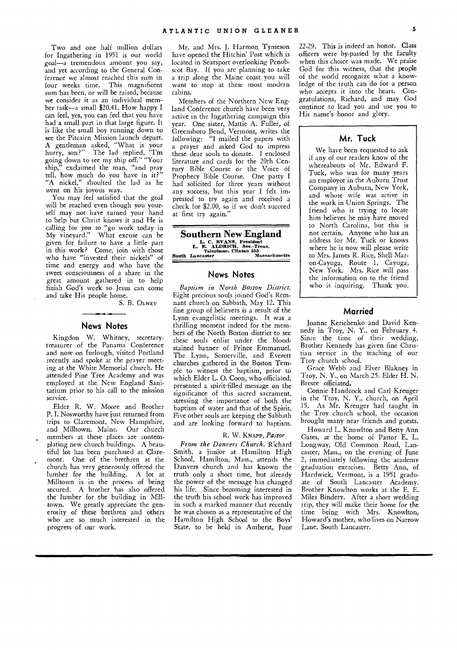Two and one half million dollars for Ingathering in 1951 is our world goal—a tremendous amount you say, and yet according to the General Conference we almost reached this sum in four weeks time. This magnificent sum has been, or will be raised, because we consider it as an individual member task—a small \$20.41. How happy I can feel, yes, you can feel that you have had a small part in that large figure. It is like the small boy running down to see the Pitcairn Mission launch depart. A gentleman asked, "What is your hurry, son?" The lad replied, "I'm going down to see my ship off." "Your ship," exclaimed the man, "and pray tell, how much do you have in it?" "A nickel," shoulted the lad as he went on his joyous way.

You may feel satisfied that the goal will be reached even though you yourself may not have turned your hand to help but Christ knows it and He is calling for *you* to "go work today in My vineyard." What excuse can be given for failure to have a little part in this work? Come, join with those who have "invested their nickels" of time and energy and who have the sweet consciousness of a share in the great amount gathered in to help finish God's work so Jesus can come and take His people home.

S. B. OLNEY

#### **News Notes**

Kingdon W. Whitney, secretarytreasurer of the Panama Conference and now on furlough., visited Portland recently and spoke at the prayer meeting at the White Memorial church. He attended Pine Tree Academy and was employed at the New England Sanitarium prior to his call to the mission service.

Elder R. W. Moore and Brother P. I. Nosworthy have just returned from trips to Claremont, New Hampshire, and Milltown, Maine. Our church members at these places are contemplating new church buildings. A beautiful lot has been purchased at Claremont. One of the brethren at the church has very generously offered the lumber for the building. A lot at Milltown is in the process of being secured. A brother has also offered the lumber for the building in Milltown. We greatly appreciate the generosity of these brethren and others who are so much interested in the progress of our work.

Mr. and Mrs. J. Harmon Tymeson have opened the Hitchin' Post which is located in Searsport overlooking Penobscot Bay. If you are planning to take a trip along the Maine coast you will want to stop at these most modern cabins.

Members of the Northern New England Conference church have been very active in the Ingathering campaign this year. One sister, Mattie A. Fuller, of Greensboro Bend, Vermont, writes the following: "I mailed the papers with a prayer and asked God to impress these dear souls to donate. I enclosed literature and cards for the 20th Century Bible. Course or the Voice of Prophecy Bible Course. One party I had solicited for three years without any success, but this year I felt impressed to try again and received a check for \$2.00, so if we don't succeed at first try again."

**Southern New England**  L. C. BVANS, President<br>
L. E. ALDRICH, See.-Treas.<br>
Telephone, Clinton 255<br>
South Lancaster Massachusetts

#### **News Notes**

*Baptism in North Boston District.*  Eight precious souls joined God's Remnant church on Sabbath, May 12. This fine group of believers is a result of the Lynn evangelistic meetings. It was a thrilling moment indeed for the members of the North Boston district to see these souls enlist under the bloodstained banner of Prince Emmanuel. The Lynn, Somerville, and Everett churches gathered in the Boston Temple to witness the baptism, prior to which Elder L. 0. Coon, who officiated, presented a spirit-filled message on the significance of this sacred sacrament, stressing the importance of both the baptism of water and that of the Spirit. Five other souls are keeping the Sabbath and are looking forward to baptism.

#### R. W. KNAPP, *Pastor*

*From the Danvers Church.* Richard Smith, a junior at Hamilton High School, Hamilton, Mass., attends the Danvers church and has known the truth only a short time, but already the power of the message has changed his life. Since becoming interested in the truth his school work has improved in such a marked manner that recently he was chosen as a representative of the Hamilton High School to the Boys' State, to be held in Amherst, June

22-29. This is indeed an honor. Class officers were by-passed by the faculty when this choice was made. We praise God for this witness, that the people of the world recognize what a knowledge of the truth can do for a person who accepts it into the heart. Congratulations, Richard, and may God continue to lead you and use you to His name's honor and glory.

#### **Mr. Tuck**

We have been requested to ask if any of our readers know of the whereabouts of Mr. Edward F. Tuck, who was for many years an employee in the Auburn Trust Company in Auburn, New York, and whose wife was active in the work in Union Springs. The friend who is trying to locate him believes he may have moved to North Carolina, but this is not certain. Anyone who has an address for Mr. Tuck or knows where he is now will please write to Mrs. James R. Rice, Shell Maron-Cayuga, Route 1, Cayuga, New York. Mrs. Rice will pass the information on to the friend who is inquiring. Thank you.

#### **Married**

Joanne Kerichenko and David Kennedy in Troy, N. Y., on February 4. Since the time of their wedding, Brother Kennedy has given fine Christian service in the teaching of our Troy church school.

Grace Webb and Elver Blakney in Troy, N. Y., on March 25. Elder H. N. Bresee officiated.

Connie Handcock and Carl Kreuger in the Troy, N. Y., church, on April 15. As Mr. Kreuger had taught in the Troy church school, the occasion brought many near friends and guests.

Howard L. Knowlton and Betty Ann Gates, at the home of Pastor E. L. Longway, Old Common Road, Lancaster, Mass., on the evening of June 2, immediately following the academy graduation exercises. Betty Ann, of Hardwick, Vermont, is a 1951 graduate of South Lancaster Academy. Brother Knowlton works at the E. E. Miles Bindery. After a short wedding trip, they will make their home for the time being with Mrs. Knowlton, Howard's mother, who lives on Narrow Lane, South Lancaster.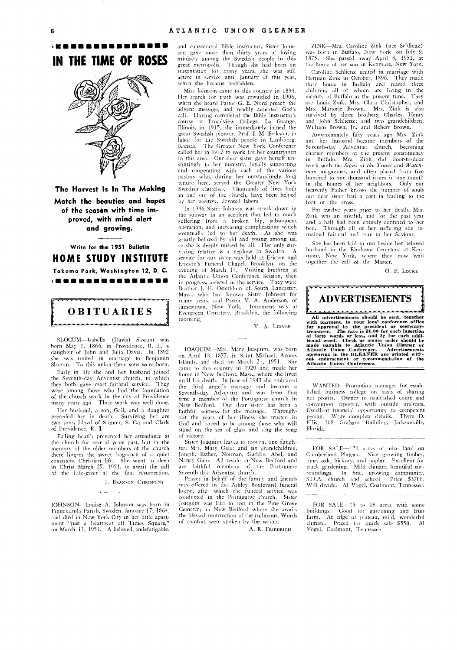ormana and a compositive and a compositive and a compositive and a compositive and a compositive and a<br><mark>.</mark> **IN THE TIME OF ROSES** 



**The Harvest In The Making Match the beauties and hopes**  of the season with time im**proved, with mind alert and growing.** 

**Write for he 1951 Bulletin HOME STUDY INSTITUTE** 

**Takoma Park, Washington 12, D. C. (11111111111111111111111111111111111111111111 all** 

# OBITUARIES

**\*\*\*\*\*\*\*\*\*\*\***\*

SLOCUM—Isabella (Davis) Slocum was born May 1, 1866, in Providence, R. I., a daughter of John and Julia Davis. she was united in marriage to Benjamin Slocum. To this union three sons were born.

Early in life she and her husband joined the Seventh-day Adventist church, to which they both gave most faithful service. They were among those who laid the foundation of the church work in the city of Providence many years ago. Their work was well done.

Her husband, a son, Gail, and a daughter preceded her in death. Surviving her are two sons, Lloyd of Sumter, S. C.; and Clark of Providence, R. I.

Failing heatlh prevented her attendance at the church for several years past, but in the memory of the older members of the church there lingers the sweet fragrance of a quiet consistent Christian life. She went to sleep in Christ March 27, 1951, to await the call of the Life-giver at the first resurrection.

J. BRANSON CHRISPENS

JOHNSON—Louise A. Johnson was born in Finnekumla Parish; Sweden, January 17, 1864, and died in New York City in her little apart-ment "just a heartbeat off Times Square," on March 11, 1951. A beloved, indefatigable,

and consecrated Bible instructor, Sister Johnson gave more than thirty years of loving ministry among the Swedish people in this great metropolis. Though she had been on sustentation for many years, she was still active in service until January of this year, when she became bedridden.

Miss Johnson came to this country in 1894. Her search for truth was rewarded in 1906, when she heard Pastor G. E. Nord preach the advent message, and readily accepted God's call. Having completed the Bible instructor's course at Broadview College, La Grange, Illinois, in 1915, she immediately joined the great Swedish pioneer, Prof. J. M. Erikson, in labor for the Swedish people in Lindsborg, Kansas. The Greater New York Conference called her in 1917 to work for her countrymen in this area. Our dear sister gave herself unstintingly to her ministry, loyally supporting and cooperating with each of the various pastors who, during her outstandingly long tenure here, served the Greater New York Swedish churches. 'Thousands of lives both in and out of the church, have been helped by her positive, devoted labors.

In 1946 Sister Johnson was struck down in the subway in an accident that led to much suffering from a broken hip, subsequent operation, and increasing complications which eventually led to her death. As she was greatly beloved by old and young among us, so she is deeply missed by all. Her only surviving relative is a nephew in Sweden. A service for our sister was held at Ericson and Ericson's Funeral Chapel. Brooklyn, on the evening of March 14. Visiting brethren at the Atlantic Union Conference Session, then in progress, assisted in the service. They were Brother J. E. Osterblom of South Lancaster. Mass., who had known Sister Johnson for many years, and Pastor V. A. Anderson, of Jamestown, New York. Interment was at Evergreen Cemetery, Brooklyn, the following morning,

V. A. LIDNER

JOAQU1M—Mrs. Mary Joaquim, was horn on April 18, 1877, in Saint Michael, Azores Islands, and died on March 21, 1951. She came to this country in 1920 and made her home in New Bedford, Mass., where she lived until her death. In June of 1943 she embraced the third angel's message and became a Seventh-day Adventist and was from that time a member of the Portuguese church in New Bedford. Our dear sister has been a faithful witness for the message. Throughout the years of her illness she trusted in God and hoped to be among those who will stand on the sea of glass and sing the song of victory.

Sister Joaquim leaves to mourn, one daughter, Mrs. Mary Gaio: and six grandchildren, Joseph, Esther, Norman, Gaddie, Abel, and Nancy Gain. All reside in New Bedford and are faithful members of the Portuguese Seventh-day Adventist church.

Prayer in behalf of the family and friends was offered in the Ashley Boulevard funeral home, after which the funeral service was conducted in the Portuguese church. Sister Joaquim was laid to rest in the Pine Grove Cemetery in New Bedford where she awaits the blessed resurrection of the righteous. Words of comfort were spoken by the writer.

A. R. FRIEDRICH

ZINK—Mrs. Caroline Zink (nee Schlicnz) was born in Buffalo, New York, on July 9, 1875. She passed away April 8, 1951, at the home of her son in Kenmore, New York.

Caroline Schlienz united in marriage with Herman Zink in October, 1896. They made their home in Buffalo and reared three children, all of whom are living in the vicinity of Buffalo at the present time. They are Louis Zink, Mrs. Clara Christopher, and Mrs. Marjorie Brown. Mrs. Zink is also survived by three brothers, Charles, Henry and John Schlienz; and two grandchildren, William Brown, Jr., and Robert Brown.

Aoproximately fifty years ago Mrs. Zink and her husband became members of the Seventh-day Adventist church, becoming charter members of the present constituency in Buffalo. Mrs. Zink did door-to-door work with the *Signs of the Times* and *Watchman* magazines, and often placed from five hundred to one thousand issues in one month in the homes of her neighbors. Only our heavenly Father knows the number of souls our dear sister had a part in leading to the foot of the cross.

For twelve years prior to her death, Mrs. Zink was an invalid, and for the past year and a half had been entirely confined to her bed. Through all of her suffering she remained faithful and true to her Saviour.

She has been laid to rest beside her beloved husband in the Elmlawn Cemetery at Kenmore, New York, where they now wait together the call of the Master.

0. F. LOCKE



All advertisements should be sent, together<br>with payment, to your local conference office<br>for approval by the president or secretary-<br>treasurer. The rate is \$1.00 for each insertion<br>of forty words or less, and 2 $\epsilon$  for e out endorsement or recommendation of the<br>Atlantic Union Conference.

WANTED-Promotion manager for established business college on basis of sharing net profits. Owner is established court and convention reporter, with outside interests. Excellent financial opportunity to competent person. Write complete details. Thyra D. Ellis, 108 Graham Building, Jacksonville, Florida.

FOR SALE--120 acres of nice land on Cumberland Plateau. Nice growing timber, pine, oak, hickory, and poplar. Excellent for truck gardening. Mild climate, beautiful sur-roundings. In fine, growing community, S.D.A. church and school. Price \$3700. Will divide. Al Vogel, Coalmont, Tennessee.

FOR SALE-15 to 18 acres with some buildings. Good for gardening and fruit farm. At edge of plateau, mild, wonderful climate. Priced for quick sale \$550. Al Vogel, Coalmont, Tennessee.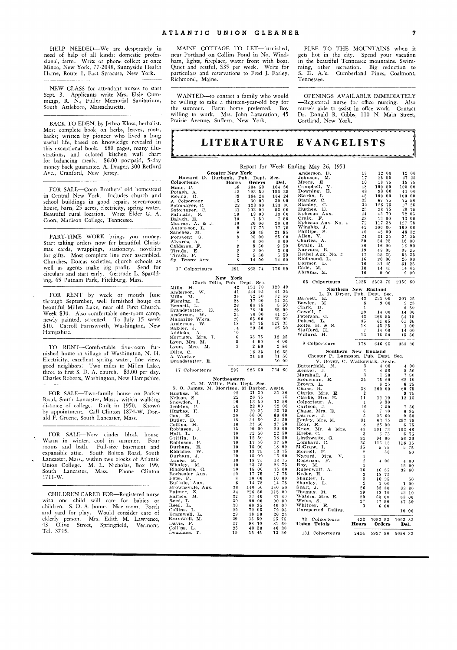HELP NEEDED—We are desperately in need of help of all kinds: domestic professional, farm. Write or phone collect at once Minoa, New York, 77-2048, Sunnyside Health Home, Route 1, East Syracuse, New York.

NEW CLASS for attendant nurses to start Sept. 3. Applicants write Mrs. Elsie Cummings, R. N., Fuller Memorial Sanitarium, South Attleboro, Massachusetts.

BACK TO EDEN, by Jethro Kloss, herbalist. Most complete book on herbs, leaves, roots, barks; written by pioneer who lived a long useful life, based on knowledge revealed in this exceptional book. 680 pages, many illu-strations, and colored kitchen wall chart for balancing meals. \$6.00 postpaid, 5-day money back guarantee. A. Drager, 300 Retford Ave., Cranford, New Jersey.

FOR SALE—Coon Brothers' old homestead in Central New York. Includes church and school buildings in good repair, seven-room house, barn, 25 acres, electricity, spring water. Beautiful rural location. Write Elder G. A. Coon, Madison College, Tennessee.

PART-TIME WORK brings you money. Start taking orders now for beautiful Christmas cards, wrappings, stationery, novelties for gifts. Most complete line ever assembled. Churches, Dorcas societies, church schools as well as agents make big profit. Send for circulars and start early. Gertrude L. Spaulding, 65 Putnam Park, Fitchburg, Mass.

FOR RENT by week or month June through September, well furnished house on beautiful Millen Lake, near old First Church. Week \$30. Also comfortable one-room camp, newly painted, screened. To July 15 week \$10. Carroll Farnsworth, Washington, New Hampshire.

TO RENT—Comfortable five-room furnished home in village of Washington, N. H. Electricity, excellent spring water, fine view, good neighbors. Two miles to Millen Lake, three to first S. D. A. church. \$3.00 per day. Charles Roberts, Washington, New Hampshire.

FOR SALE—Two-family house on Parker Road, South Lancaster, Mass., within walking distance of college. Built in 1950. Shown by appointment. Call Clinton 1874-W. Don-ald F. Greene, South Lancaster, Mass.

FOR SALE—New cinder block house. Warm in winter, cool in summer. Four<br>rooms and bath. Full-size basement and Full-size basement and expansible attic. South Bolton Road, South Lancaster, Mass., within two blocks of Atlantic Union College. M. L. Nicholas, Box 199, South Lancaster, Mass. Phone Clinton 1711-W.

CHILDREN CARED FOR—Registered nurse with one child will care for babies or children. S. D. A. home. Nice room. Porch and yard for play. Would consider care of elderly person. Mrs. Edith M. Lawrence, 43 Olive Street, Springfield, Vermont. Tel. 3745.

MAINE COTTAGE TO LET—furnished, near Portland on Collins Pond in No. Windham, lights, fireplace, water front with boat. Quiet and restful, \$35 per week. Write for particulars and reservations to Fred J. Farley, Richmond, Maine.

WANTED—to contact a family who would be willing to take a thirteen-year-old boy for<br>the summer. Farm home preferred. Boy summer. Farm home preferred. Boy willing to work. Mrs. John Lazaration, 45 Prairie Avenue, Suffern, New York.

FLEE TO THE MOUNTAINS when it gets hot in the city. Spend your vacation in the beautiful Tennessee mountains. Swimming, other recreation. Big reduction to S. D. A.'s. Cumberland Pines, Coalmont, Cumberland Pines, Coalmont, Tennessee.

OPENINGS AVAILABLE IMMEDIATELY —Registered nurse for office nursing. Also<br>nurse's aide to assist in office work. Contact nurse's aide to assist in offce work. Dr. Donald R. Gibbs, 110 N. Main Street, Cortland, New York.

## **LITERATURE EVANGELISTS**

|                                            |                                    |                                  |                                  | Report for Week Ending May 26, 1951        |                     |                                |                |                                                  |
|--------------------------------------------|------------------------------------|----------------------------------|----------------------------------|--------------------------------------------|---------------------|--------------------------------|----------------|--------------------------------------------------|
| <b>Greater New York</b>                    |                                    |                                  |                                  | Anderson, D.                               | 18                  | 12 00                          |                | 12 00                                            |
| Howard D. Burbank, Pub. Dept.              |                                    |                                  | Sec.                             | Johnson,<br>M.                             | 17                  | 25 50                          |                | 27, 25                                           |
| Colporteurs                                | Hours                              | <b>Orders</b>                    | Del.                             | Е.<br>Myers,                               | 10                  | 18 75                          |                | 18 75                                            |
| Haas, P.                                   | 58                                 | 104 50                           | 104 50                           | V.<br>Campbell,                            | 48                  | 100 00                         |                | 100 00                                           |
| Potash, A.                                 | 42                                 | 193 50                           | 158 25                           | Downing, E.                                | 48                  | 93                             | 0 <sub>0</sub> | 41<br>0 <sub>0</sub>                             |
| Schulz, G.                                 | 39                                 | 164<br>24                        | 164 24                           | Starks, L.                                 | 45                  | 100                            | 00<br>100      | $_{00}$                                          |
| A Colporteur                               | 25                                 | 30.<br>00<br>123                 | 30 00                            | Stanley, C.<br>Stanley, C.                 | 33<br>$3\,2$        | 67<br>126                      | 75<br>-75      | 75<br>-50<br>27<br>25                            |
| Sotomayer, C.                              | 22<br>21                           | 80<br>102<br>$_{00}$             | 123 80<br>53 00                  |                                            | 25                  | 28                             | -75            | 28<br>75                                         |
| Sotomayer, C.<br>Salulaht, S.              | 20                                 | 13<br>0 <sub>0</sub>             | 13<br>00                         | Hughes, E.<br>Ephesus Au<br>Aux.           | 24                  | 43                             | 70             | 72<br>05                                         |
| Balogh, E.                                 | 10                                 | 7<br>50                          | 7<br>50                          | Craig, F.                                  | $\bf 2\,3$          | 13                             | 0 <sub>0</sub> | 13<br>$_{00}$                                    |
| Murray, A. & J.                            | 10                                 | 0 <sub>0</sub><br>20             | 20 00                            | Ephesus Aux. No. 4                         | 72                  | 117                            | 38<br>127      | 78                                               |
| Antonsson, L.                              | 9                                  | 17<br>75                         | 17 75                            | Winship, J.                                | $4\,2$              | 100 00                         | 100            | 00                                               |
| Sanchez, M.                                | 9                                  | 29 45                            | 21 95                            | Phillips, S.                               | 40                  | 45                             | 0 <sub>0</sub> | 48<br>32                                         |
| Forsberg, G.                               | 8                                  | 25<br>0 <sub>0</sub>             | 25<br>0 <sub>0</sub>             | Allen, V.                                  | 24                  | 31                             | 25             | 31<br>25                                         |
| Alvarez, A.                                | 4                                  | 6<br>00                          | $_{00}$<br>6                     | Charles, A.                                | 20                  | 54                             | 25<br>16       | 00                                               |
| Calderon, F.                               | $\overline{2}$                     | 9<br>50                          | 950                              | Swain, B.<br>Narvaez, B.                   | 20<br>19            | 16 90                          |                | 90<br>16                                         |
| Tirado, E.                                 | $\boldsymbol{2}$<br>$\overline{2}$ | 300                              | 300<br>5 50                      | Bethel Aux, No. 2                          | 17                  | 48 05<br>55                    | 35             | 33<br>15<br>55<br>35                             |
| Tirado, P.<br>Sp. Bronx Aux.               | 8                                  | 5 50<br>14<br>00                 | 14 00                            | Richmond, L.                               | 16                  | 20                             | 0 <sub>0</sub> | 20 00                                            |
|                                            |                                    |                                  |                                  | Dormer, L.                                 | 10                  | 31 25                          |                | 31<br>25                                         |
| 17 Colporteurs                             | 291                                | 868 74                           | 776 99                           | Cade, M.                                   | 10                  | 14 45                          |                | 14 45                                            |
|                                            |                                    |                                  |                                  | Abrams, M.                                 | 10                  | 9                              | 0 <sub>0</sub> | 900                                              |
|                                            | New York                           |                                  |                                  |                                            |                     |                                |                |                                                  |
| Clark Dilts, Pub. Dept. Sec.               |                                    |                                  |                                  | 55 Colporteurs                             | 1225                | 2503 78                        |                | 2155 60                                          |
| Mills, H.                                  | 42                                 | 151 70                           | 129 40                           | Northern New England                       |                     |                                |                |                                                  |
| W.<br>Anderson,                            | 41                                 | 224 95                           | 41 25                            | L. D. Dryer, Pub. Dept. Sec.               |                     |                                |                |                                                  |
| Mills, M.                                  | 34                                 | 72 50                            | 72 50                            | Barnett,<br>Е.                             | 43                  | 221 00                         |                | 207 25                                           |
| Fleming. L.                                | 28<br>26                           | 17<br>0 <sub>0</sub><br>68<br>75 | 14 25<br>5<br>-50                | Bowler,<br>м                               | 8                   | 900                            |                | 9<br>25                                          |
| Bennett, L.<br>Brandstatter,<br>Е.         | $26\,$                             | 78 25                            | 65 00                            | Clark, D.                                  | 1                   |                                |                | 6<br>50                                          |
| W.<br>Anderson.                            | 24                                 | 70<br>$_{00}$                    | 41 25                            | Gowell, I.                                 | 10                  | 14 00                          |                | 14<br>00                                         |
| Magazine Wkrs.                             | 20                                 | 0 <sub>0</sub><br>65             | 65 00                            | Peterson, G.                               | 43                  | 268 55                         |                | 54 15                                            |
| W.<br>Anderson,                            | 18                                 | 57<br>75                         | 35<br>127                        | Poland, L.                                 | 35                  | 61 65                          |                | 61 65                                            |
| Salzler, J.                                | 14                                 | 29<br>50                         | 46<br>-50                        | Rolfe, H. &<br>- S.<br>Stafford, H.        | 18<br>7             | 43 25<br>14 00                 | 14             | 0 <sub>0</sub><br>$\mathbf{1}$<br>0 <sub>0</sub> |
| Addicks, A.                                | 10                                 |                                  |                                  | Willard, H.                                | 13                  | 15 50                          | 15             | 50                                               |
| Morrison, Mrs. I.                          | 6                                  | 35 75                            | 12 25                            |                                            |                     |                                |                |                                                  |
| Lyon, Mrs. M.                              | 5                                  | 400                              | 4 00                             | 9 Colporteurs                              | 178                 | 646 95                         |                | 383 30                                           |
| Lyon, Mrs. M.                              | 3                                  | 250                              | $2^{\circ}$<br>50                |                                            |                     |                                |                |                                                  |
|                                            |                                    |                                  |                                  |                                            |                     |                                |                |                                                  |
| Dilts, C.                                  |                                    | 16 35                            | 16<br>35                         | Southern New England                       |                     |                                |                |                                                  |
| A Worker                                   |                                    | 31 50                            | 50<br>31.                        | Chester P. Lampson, Pub. Dept. Sec.        |                     |                                |                |                                                  |
| Brandstatter, E.                           |                                    |                                  | 60 00                            | V. Bovey, C. Walkowiak, Assts.             |                     |                                |                |                                                  |
|                                            |                                    |                                  |                                  | Butterfield,<br>N.                         | 3                   | 400                            |                | 400                                              |
| 17 Colporteurs                             | 297                                | 925 50                           | 734 60                           | Kenyer, J.                                 | 3<br>3              | 8<br>-50                       |                | 8 50                                             |
|                                            | Northeastern                       |                                  |                                  | Marshall, J.                               | 25                  | 7<br>-50<br>-60<br>75          |                | 7 50                                             |
| C. M. Willis, Pub. Dept. Sec.              |                                    |                                  |                                  | Breneman, E.<br>Brown, L.                  |                     | 6<br>25                        |                | 62 10<br>6<br>25                                 |
| S. O. James, M. Morrison, M Barber, Assts. |                                    |                                  |                                  |                                            | 38                  | $200 - 00$                     | 60             | -75                                              |
| Hughes,<br>Ю.                              | 22                                 | 31 30                            | 31 30                            | Chase, R.<br>Clarke, Mrs. E.               | $\overline{2}$      |                                |                | 9 75                                             |
| Nelson, S.                                 | 22                                 | 26<br>75                         | 75                               | Clarke, Mrs. E.                            | 11                  | 12 10                          |                | 12 10                                            |
|                                            | 20                                 | 13<br>-50                        | 13<br>50                         | Colporteur. A.                             | $\mathbf{1}$        | 930                            |                |                                                  |
|                                            | 20                                 | $2\,2$<br>0 <sub>0</sub>         | 22 00                            | Carlson, J.                                | 10                  | 7.50                           |                | 7<br>50                                          |
| Snowden, I.<br>Jenkins, P.<br>Hughes, F.   | 13<br>20                           | 20<br>-25<br>66 00               | 23 75                            | Chase, Mrs. E.                             | 6                   | $7 - 70$                       |                | 6 95                                             |
| Cox, E.                                    | 18                                 | 50<br>34                         | 66 00<br>34<br>50                | Darrow, J.                                 | 5<br>31             | 2560                           |                | 950                                              |
| Butler, D.<br>Collins. H.                  | 16                                 | 37<br>50                         | 50<br>37                         | Fenley, Mrs. M.<br>Hoar, E.                | 8                   | 63 75<br>26<br>- 00            |                | 257 75<br>6<br>75                                |
| Robinson, J.                               | 15                                 | 00<br>20                         | 0 <sub>0</sub><br>20             | Knox, Mr. & Mrs.                           | 43                  | 101<br>73                      | 103            | 48                                               |
| Hall, L.                                   | 10                                 | 22 50                            | 22 50                            | Krebs, C.                                  | 3                   | 6<br>75                        |                | 6<br>75                                          |
| Griffin, D.                                | 10                                 | 18<br>50                         | 18<br>50                         | Linthwaite, G.                             | 32                  | 94<br>60                       |                | 56 30                                            |
|                                            | 10                                 | 17<br>50                         | 17<br>50                         | Lombard, C.                                | 35                  | 116 15                         | 116            | -15                                              |
| Robinson, P.<br>Durham, E.<br>Е.           | 10                                 | 18<br>0 <sub>0</sub>             | 0 <sub>0</sub><br>18             | McGraw, I.                                 | 15                  | 5<br>75                        |                | 75<br>5                                          |
| W.<br>Eldridge.                            | 10<br>10                           | 13<br>75<br>0 <sub>0</sub><br>15 | 13<br>75<br>0 <sub>0</sub><br>15 | Morrell, H.                                | $\overline{2}$      | 50                             |                | 50                                               |
| Durham, J.                                 | 10                                 | 75                               | 75<br>18                         | Nygard,<br>Mrs.<br>Y.                      | 1<br>$\overline{2}$ |                                |                | 0 <sub>0</sub><br>4                              |
| James, R.<br>Whaley, I<br>M.               | 10                                 | 18<br>$2\sqrt{3}$<br>75          | 23<br>75                         | Rogerson, F.<br>Roy, M.                    | 1                   | 400                            |                | 15<br>0 <sub>0</sub>                             |
| Blackshire, G.                             | 10                                 | 0 <sub>0</sub><br>15             | 15<br>0 <sub>0</sub>             | Rubenwolf, A.                              | 30                  | 46<br>85                       | 38             | 60                                               |
| Rochester Aux.                             | 10                                 | 75<br>17                         | 75<br>17                         | Ryder, E.                                  | 3                   | 18<br>-75                      |                |                                                  |
| Pope, P.                                   | -8                                 | 10<br>0 <sub>0</sub>             | 10<br>0 <sub>0</sub>             | Shanley, L.                                | 3                   | 10 25                          |                | 50                                               |
| Buffalo, Aux.                              | 6                                  | 75<br>14                         | 14<br>75                         | Shanley,<br>Т.                             | $\overline{2}$      | $\mathbf{1}$<br>0 <sub>0</sub> |                | 100                                              |
| Brownsville, Aux.                          | 38                                 | 140<br>50                        | 140<br>50                        | Spalt, J.                                  | 26                  | 33<br>80                       | 33             | - 80                                             |
| Palmer, Z.                                 | 34<br>32                           | 226 50<br>37<br>40               | 115<br>- 00<br>37<br>40          |                                            | 29<br>20            | 42 10                          |                | $-42 - 10$                                       |
| Barnes, M.                                 | 30                                 | 90<br>0 <sub>0</sub>             | 90<br>00                         | Thomas, M.<br>Waters, Mrs. E.<br>Weiss, S. | 27                  | 63 00<br>47 50                 |                | 63 00                                            |
| Reed, L.<br>Reed, L.                       | 30                                 | 60<br>35                         | 0 <sub>0</sub><br>40             | Whitney, E.                                | 3                   | 6<br>0 <sub>0</sub>            |                | 47 50                                            |
| Collins, L.                                | 29                                 | 72 05                            | $72-$<br>05                      | Unreported Delivs.                         |                     |                                |                | 10 00                                            |
|                                            | 29                                 | 38 50                            | 26 25                            |                                            |                     |                                |                |                                                  |
| Bramwell, L.<br>Bramwell, M.               | 29                                 | 35 50                            | 25<br>75                         | 33 Colporteurs                             | 423                 | 1052 53                        |                | 1003 83                                          |
| Davis, F.                                  | $2\,7$                             | 98 10                            | 81<br>60                         | Union Totals                               | Hours               | Orders                         |                | Del.                                             |
| Collins, L.<br>Douglass, T.                | 25<br>19                           | 40 30<br>15 45                   | 40 30<br>13 20                   | 131 Colporteurs                            | 2414                | 5997 50                        | 5054 32        |                                                  |